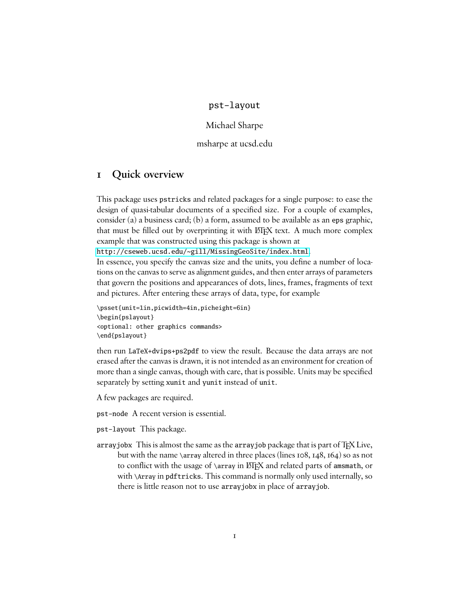#### pst-layout

Michael Sharpe

msharpe at ucsd.edu

## **1 Quick overview**

This package uses pstricks and related packages for a single purpose: to ease the design of quasi-tabular documents of a specified size. For a couple of examples, consider (a) a business card; (b) a form, assumed to be available as an eps graphic, that must be filled out by overprinting it with ET<sub>EX</sub> text. A much more complex example that was constructed using this package is shown at

<http://cseweb.ucsd.edu/~gill/MissingGeoSite/index.html>.

In essence, you specify the canvas size and the units, you define a number of locations on the canvas to serve as alignment guides, and then enter arrays of parameters that govern the positions and appearances of dots, lines, frames, fragments of text and pictures. After entering these arrays of data, type, for example

```
\psset{unit=1in,picwidth=4in,picheight=6in}
\begin{pslayout}
<optional: other graphics commands>
\end{pslayout}
```
then run LaTeX+dvips+ps2pdf to view the result. Because the data arrays are not erased after the canvas is drawn, it is not intended as an environment for creation of more than a single canvas, though with care, that is possible. Units may be specified separately by setting xunit and yunit instead of unit.

A few packages are required.

pst-node A recent version is essential.

pst-layout This package.

arrayjobx This is almost the same as the arrayjob package that is part of TEX Live, but with the name \array altered in three places (lines 108, 148, 164) so as not to conflict with the usage of \array in LATEX and related parts of amsmath, or with \Array in pdftricks. This command is normally only used internally, so there is little reason not to use arrayjobx in place of arrayjob.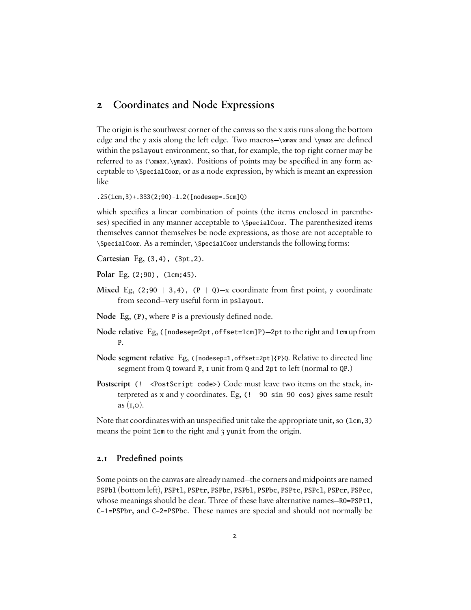## **2 Coordinates and Node Expressions**

The origin is the southwest corner of the canvas so the x axis runs along the bottom edge and the y axis along the left edge. Two macros-\xmax and \ymax are defined within the pslayout environment, so that, for example, the top right corner may be referred to as  $(\xmax, \ymax)$ . Positions of points may be specified in any form acceptable to \SpecialCoor, or as a node expression, by which is meant an expression like

.25(1cm,3)+.333(2;90)-1.2([nodesep=.5cm]Q)

which specifies a linear combination of points (the items enclosed in parentheses) specified in any manner acceptable to \SpecialCoor. The parenthesized items themselves cannot themselves be node expressions, as those are not acceptable to \SpecialCoor. As a reminder, \SpecialCoor understands the following forms:

**Cartesian** Eg, (3,4), (3pt,2).

**Polar** Eg, (2;90), (1cm;45).

- **Mixed** Eg,  $(2, 90 \mid 3, 4)$ ,  $(P \mid Q)$ —x coordinate from first point, y coordinate from second—very useful form in pslayout.
- **Node** Eg, (P), where P is a previously defined node.
- **Node relative** Eg, ([nodesep=2pt,offset=1cm]P)—2pt to the right and 1cm up from P.
- **Node segment relative** Eg, ([nodesep=1,offset=2pt]{P}Q. Relative to directed line segment from Q toward P, I unit from Q and 2pt to left (normal to QP.)
- **Postscript** (! <**PostScript** code>) Code must leave two items on the stack, interpreted as x and y coordinates. Eg, (! 90 sin 90 cos) gives same result as  $(i, \circ)$ .

Note that coordinates with an unspecified unit take the appropriate unit, so (1cm, 3) means the point 1cm to the right and 3 yunit from the origin.

#### **2.1** Predefined points

Some points on the canvas are already named—the corners and midpoints are named PSPb1 (bottom left), PSPt1, PSPtr, PSPbr, PSPb1, PSPbc, PSPtc, PSPc1, PSPcr, PSPcc, whose meanings should be clear. Three of these have alternative names—R0=PSPtl, C-1=PSPbr, and C-2=PSPbc. These names are special and should not normally be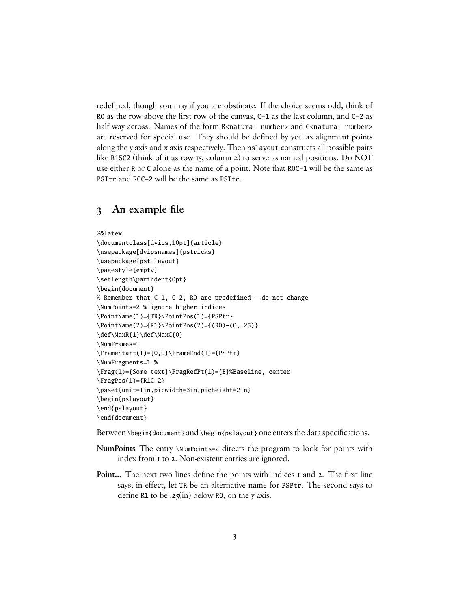redefined, though you may if you are obstinate. If the choice seems odd, think of R0 as the row above the first row of the canvas, C-1 as the last column, and C-2 as half way across. Names of the form R<natural number> and C<natural number> are reserved for special use. They should be defined by you as alignment points along the y axis and x axis respectively. Then pslayout constructs all possible pairs like R15C2 (think of it as row 15, column 2) to serve as named positions. Do NOT use either R or C alone as the name of a point. Note that R0C-1 will be the same as PSTtr and R0C-2 will be the same as PSTtc.

## **3** An example file

```
%&latex
\documentclass[dvips,10pt]{article}
\usepackage[dvipsnames]{pstricks}
\usepackage{pst-layout}
\pagestyle{empty}
\setlength\parindent{0pt}
\begin{document}
% Remember that C-1, C-2, R0 are predefined---do not change
\NumPoints=2 % ignore higher indices
\PointName(1)={TR}\PointPos(1)={PSPtr}
\PointName(2)={R1}\PointPos(2)={(R0)-(0,.25)}
\def\MaxR{1}\def\MaxC{0}
\NumFrames=1
\FrameStart(1)={0,0}\FrameEnd(1)={PSPtr}
\NumFragments=1 %
\Frag(1)={Some text}\FragRefPt(1)={B}%Baseline, center
\FragPos(1)={R1C-2}
\psset{unit=1in,picwidth=3in,picheight=2in}
\begin{pslayout}
\end{pslayout}
\end{document}
```
Between \begin{document} and \begin{pslayout} one enters the data specifications.

- **NumPoints** The entry \NumPoints=2 directs the program to look for points with index from 1 to 2. Non-existent entries are ignored.
- Point... The next two lines define the points with indices I and 2. The first line says, in effect, let TR be an alternative name for PSPtr. The second says to define R1 to be  $.25$ (in) below R0, on the y axis.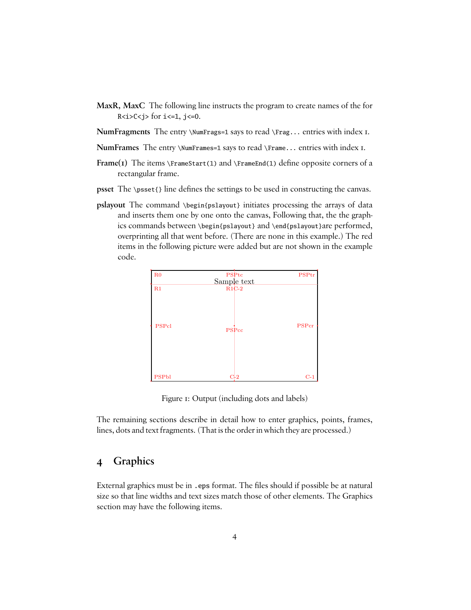- **MaxR, MaxC** The following line instructs the program to create names of the for R $lti>$ C $ltj>$  for i $lt=1$ , j $lt=0$ .
- **NumFragments** The entry \NumFrags=1 says to read \Frag... entries with index 1.
- **NumFrames** The entry \NumFrames=1 says to read \Frame... entries with index 1.
- **Frame(1)** The items \FrameStart(1) and \FrameEnd(1) define opposite corners of a rectangular frame.
- **psset** The \psset{} line defines the settings to be used in constructing the canvas.
- **pslayout** The command \begin{pslayout} initiates processing the arrays of data and inserts them one by one onto the canvas, Following that, the the graphics commands between \begin{pslayout} and \end{pslayout}are performed, overprinting all that went before. (There are none in this example.) The red items in the following picture were added but are not shown in the example code.

| R <sub>0</sub> | PSP <sub>tc</sub><br>Sample text | <b>PSPtr</b> |
|----------------|----------------------------------|--------------|
| R1             | $R1C-2$                          |              |
| <b>PSPcl</b>   | PSPcc                            | PSPcr        |
| <b>PSPbl</b>   | C <sub>2</sub>                   | $C-1$        |

Figure 1: Output (including dots and labels)

The remaining sections describe in detail how to enter graphics, points, frames, lines, dots and text fragments. (That is the order in which they are processed.)

#### **4 Graphics**

External graphics must be in . eps format. The files should if possible be at natural size so that line widths and text sizes match those of other elements. The Graphics section may have the following items.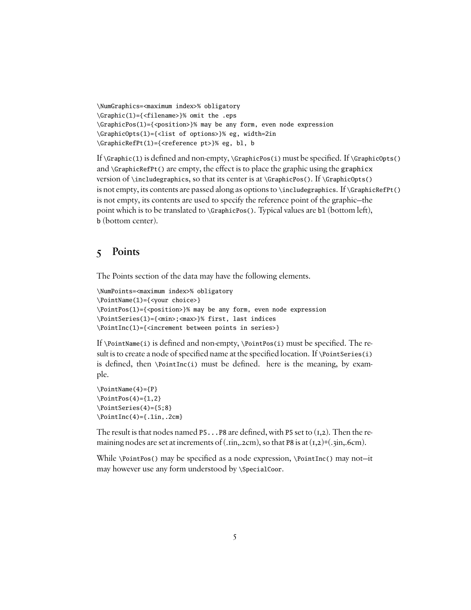```
\NumGraphics=<maximum index>% obligatory
\Graphic(1)={<filename>}% omit the .eps
\GraphicPos(1)={<position>}% may be any form, even node expression
\GraphicOpts(1)={<list of options>}% eg, width=2in
\GraphicRefPt(1)={<reference pt>}% eg, bl, b
```
If  $\Gamma(1)$  is defined and non-empty,  $\GraphicPos(i)$  must be specified. If  $\GraphicOps()$ and  $\Gamma$  are empty, the effect is to place the graphic using the graphicx version of  $\infty$ , so that its center is at  $\GraphicPos()$ . If  $\GraphicOpts()$ is not empty, its contents are passed along as options to \includegraphics. If \GraphicRefPt() is not empty, its contents are used to specify the reference point of the graphic—the point which is to be translated to \GraphicPos(). Typical values are b1 (bottom left), b (bottom center).

## **5 Points**

The Points section of the data may have the following elements.

```
\NumPoints=<maximum index>% obligatory
\PointName(1)={<your choice>}
\PointPos(1)={<position>}% may be any form, even node expression
\PointSeries(1)={<min>;<max>}% first, last indices
\PointInc(1)={<increment between points in series>}
```
If  $\Delta$  is defined and non-empty,  $\Delta$  intros(i) must be specified. The result is to create a node of specified name at the specified location. If  $\Delta$  is extended is is defined, then  $\Delta$  (PointInc(i) must be defined. here is the meaning, by example.

```
\PointName(4)={P}
\Delta(PointPos(4)={1,2}
\PointSeries(4)={5;8}
\PointInc(4)={.1in,.2cm}
```
The result is that nodes named P5.  $\ldots$  P8 are defined, with P5 set to (1,2). Then the remaining nodes are set at increments of (.iin,.2cm), so that P8 is at  $(\text{I},2)+$ (.3in,.6cm).

While \PointPos() may be specied as a node expression, \PointInc() may not—it may however use any form understood by \SpecialCoor.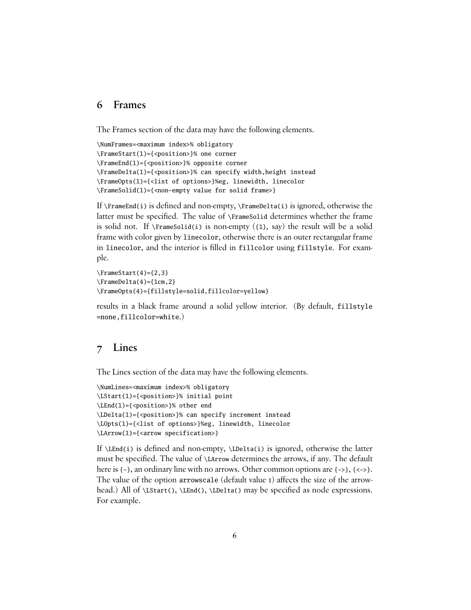#### **6 Frames**

The Frames section of the data may have the following elements.

```
\NumFrames=<maximum index>% obligatory
\FrameStart(1)={<position>}% one corner
\FrameEnd(1)={<position>}% opposite corner
\FrameDelta(1)={<position>}% can specify width,height instead
\FrameOpts(1)={<list of options>}%eg, linewidth, linecolor
\FrameSolid(1)={<non-empty value for solid frame>}
```
If  $\F$ rameEnd(i) is defined and non-empty,  $\F$ rameDelta(i) is ignored, otherwise the latter must be specified. The value of \FrameSolid determines whether the frame is solid not. If  $\FrameSolid(i)$  is non-empty  $(11, say)$  the result will be a solid frame with color given by linecolor, otherwise there is an outer rectangular frame in linecolor, and the interior is filled in fillcolor using fillstyle. For example.

 $\Gamma(4)=\{2,3\}$  $\Gamma$ 1cm, 2} \FrameOpts(4)={fillstyle=solid,fillcolor=yellow}

results in a black frame around a solid yellow interior. (By default, fillstyle =none,fillcolor=white.)

## **7 Lines**

The Lines section of the data may have the following elements.

```
\NumLines=<maximum index>% obligatory
\LStart(1)={<position>}% initial point
\LEnd(1)={<position>}% other end
\LDelta(1)={<position>}% can specify increment instead
\LOpts(1)={<list of options>}%eg, linewidth, linecolor
\LArrow(1)={<arrow specification>}
```
If  $\LEnd(i)$  is defined and non-empty,  $\LDelta(i)$  is ignored, otherwise the latter must be specified. The value of  $\Lambda$  LArrow determines the arrows, if any. The default here is {-}, an ordinary line with no arrows. Other common options are {->}, {<->}. The value of the option arrowscale (default value  $I$ ) affects the size of the arrowhead.) All of  $\Lambda$ ,  $\Lambda$ ,  $\Lambda$ ,  $\Lambda$ ,  $\Lambda$ ,  $\Lambda$  be specified as node expressions. For example.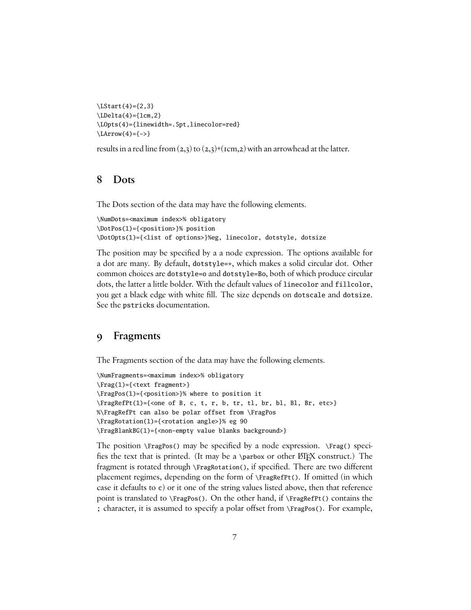```
\LStart(4)={2,3}
\LDelta(4)=\{1cm,2\}\LOpts(4)={linewidth=.5pt,linecolor=red}
\text{LArrow}(4)=\{->\}
```
results in a red line from  $(2,3)$  to  $(2,3)+(1)$  rem, 2) with an arrowhead at the latter.

## **8 Dots**

The Dots section of the data may have the following elements.

```
\NumDots=<maximum index>% obligatory
\DotPos(1)={<position>}% position
\DotOpts(1)={<list of options>}%eg, linecolor, dotstyle, dotsize
```
The position may be specified by a a node expression. The options available for a dot are many. By default, dotstyle=\*, which makes a solid circular dot. Other common choices are dotstyle=o and dotstyle=Bo, both of which produce circular dots, the latter a little bolder. With the default values of linecolor and fillcolor, you get a black edge with white fill. The size depends on dotscale and dotsize. See the pstricks documentation.

#### **9 Fragments**

The Fragments section of the data may have the following elements.

```
\NumFragments=<maximum index>% obligatory
\Frag(1)={<text fragment>}
\FragPos(1)={<position>}% where to position it
\FragRefPt(1)={<one of B, c, t, r, b, tr, tl, br, bl, Bl, Br, etc>}
%\FragRefPt can also be polar offset from \FragPos
\FragRotation(1)={<rotation angle>}% eg 90
\FragBlankBG(1)={<non-empty value blanks background>}
```
The position  $\F{ragPos}$  may be specified by a node expression.  $\F{rag}$  specifies the text that is printed. (It may be a \parbox or other  $\langle E|X \rangle$  construct.) The fragment is rotated through \FragRotation(), if specified. There are two different placement regimes, depending on the form of \FragRefPt(). If omitted (in which case it defaults to c) or it one of the string values listed above, then that reference point is translated to  $\FragPos()$ . On the other hand, if  $\FragRefPt()$  contains the ; character, it is assumed to specify a polar offset from \FragPos(). For example,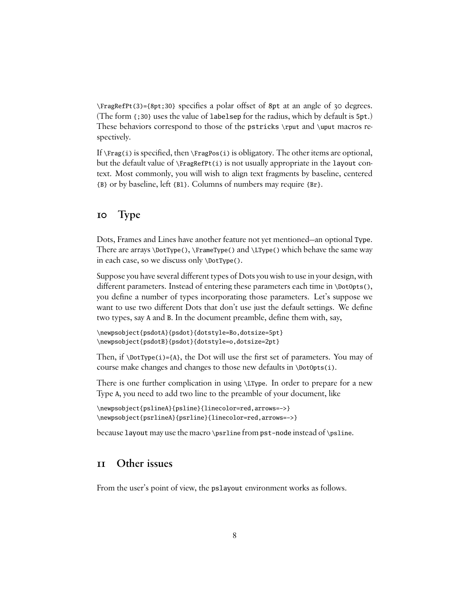$\frac{P}{3}$  \FragRefPt(3)={8pt;30} specifies a polar offset of 8pt at an angle of 30 degrees. (The form {;30} uses the value of labelsep for the radius, which by default is 5pt.) These behaviors correspond to those of the pstricks \rput and \uput macros respectively.

If  $\F{arg(i)}$  is specified, then  $\F{ragPos(i)}$  is obligatory. The other items are optional, but the default value of \FragRefPt(i) is not usually appropriate in the layout context. Most commonly, you will wish to align text fragments by baseline, centered {B} or by baseline, left {B1}. Columns of numbers may require {Br}.

## **10 Type**

Dots, Frames and Lines have another feature not yet mentioned—an optional Type. There are arrays \DotType(), \FrameType() and \LType() which behave the same way in each case, so we discuss only \DotType().

Suppose you have several different types of Dots you wish to use in your design, with different parameters. Instead of entering these parameters each time in  $\Delta$ botopts(), you define a number of types incorporating those parameters. Let's suppose we want to use two different Dots that don't use just the default settings. We define two types, say A and B. In the document preamble, define them with, say,

```
\newpsobject{psdotA}{psdot}{dotstyle=Bo,dotsize=5pt}
\newpsobject{psdotB}{psdot}{dotstyle=o,dotsize=2pt}
```
Then, if  $\Delta$  \DotType(i)={A}, the Dot will use the first set of parameters. You may of course make changes and changes to those new defaults in \DotOpts(i).

There is one further complication in using \LType. In order to prepare for a new Type A, you need to add two line to the preamble of your document, like

\newpsobject{pslineA}{psline}{linecolor=red,arrows=->} \newpsobject{psrlineA}{psrline}{linecolor=red,arrows=->}

because layout may use the macro \psrline from pst-node instead of \psline.

## **11 Other issues**

From the user's point of view, the pslayout environment works as follows.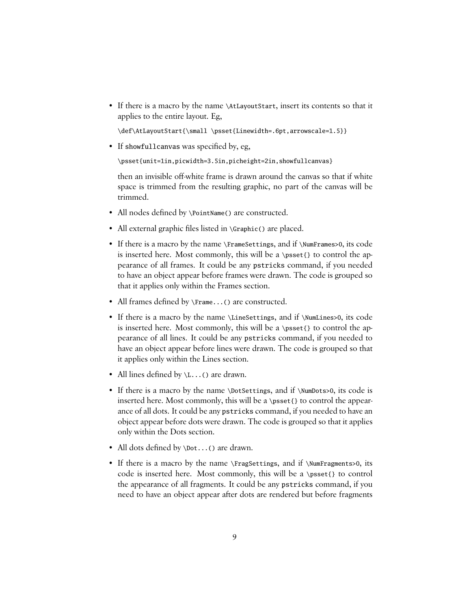• If there is a macro by the name \AtLayoutStart, insert its contents so that it applies to the entire layout. Eg,

\def\AtLayoutStart{\small \psset{Linewidth=.6pt,arrowscale=1.5}}

• If showfullcanvas was specified by, eg,

\psset{unit=1in,picwidth=3.5in,picheight=2in,showfullcanvas}

then an invisible off-white frame is drawn around the canvas so that if white space is trimmed from the resulting graphic, no part of the canvas will be trimmed.

- All nodes defined by \PointName() are constructed.
- All external graphic files listed in \Graphic() are placed.
- If there is a macro by the name \FrameSettings, and if \NumFrames>0, its code is inserted here. Most commonly, this will be a \psset{} to control the appearance of all frames. It could be any pstricks command, if you needed to have an object appear before frames were drawn. The code is grouped so that it applies only within the Frames section.
- All frames defined by  $\F$ rame...() are constructed.
- If there is a macro by the name \LineSettings, and if \NumLines>0, its code is inserted here. Most commonly, this will be a \psset{} to control the appearance of all lines. It could be any pstricks command, if you needed to have an object appear before lines were drawn. The code is grouped so that it applies only within the Lines section.
- All lines defined by  $\setminus$ L...() are drawn.
- If there is a macro by the name \DotSettings, and if \NumDots>0, its code is inserted here. Most commonly, this will be a \psset{} to control the appearance of all dots. It could be any pstricks command, if you needed to have an object appear before dots were drawn. The code is grouped so that it applies only within the Dots section.
- All dots defined by \Dot...() are drawn.
- If there is a macro by the name \FragSettings, and if \NumFragments>0, its code is inserted here. Most commonly, this will be a \psset{} to control the appearance of all fragments. It could be any pstricks command, if you need to have an object appear after dots are rendered but before fragments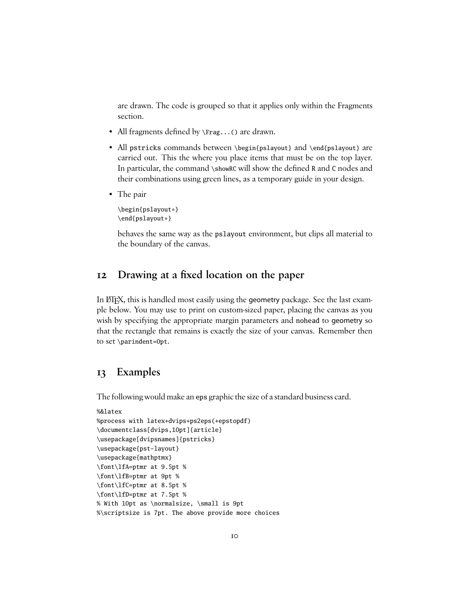are drawn. The code is grouped so that it applies only within the Fragments section.

- All fragments defined by  $\frac{1}{2}$ ...() are drawn.
- All pstricks commands between \begin{pslayout} and \end{pslayout} are carried out. This the where you place items that must be on the top layer. In particular, the command \showRC will show the defined R and C nodes and their combinations using green lines, as a temporary guide in your design.
- The pair

\begin{pslayout\*} \end{pslayout\*}

behaves the same way as the pslayout environment, but clips all material to the boundary of the canvas.

# **12** Drawing at a fixed location on the paper

In ET<sub>E</sub>X, this is handled most easily using the geometry package. See the last example below. You may use to print on custom-sized paper, placing the canvas as you wish by specifying the appropriate margin parameters and nohead to geometry so that the rectangle that remains is exactly the size of your canvas. Remember then to set \parindent=0pt.

#### **13 Examples**

The following would make an eps graphic the size of a standard business card.

```
%&latex
```

```
%process with latex+dvips+ps2eps(+epstopdf)
\documentclass[dvips,10pt]{article}
\usepackage[dvipsnames]{pstricks}
\usepackage{pst-layout}
\usepackage{mathptmx}
\font\lfA=ptmr at 9.5pt %
\font\lfB=ptmr at 9pt %
\font\lfC=ptmr at 8.5pt %
\font\lfD=ptmr at 7.5pt %
% With 10pt as \normalsize, \small is 9pt
%\scriptsize is 7pt. The above provide more choices
```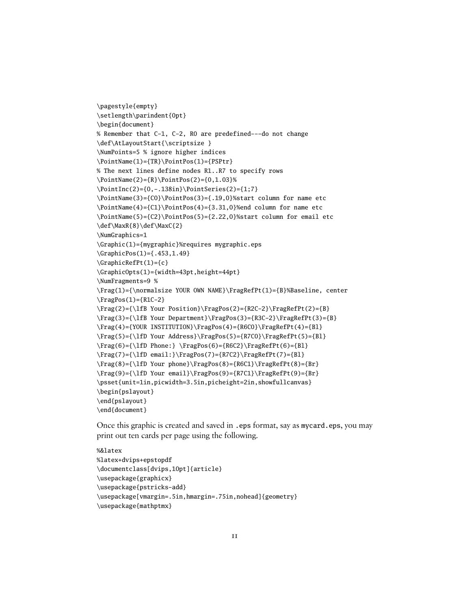```
\pagestyle{empty}
\setlength\parindent{0pt}
\begin{document}
% Remember that C-1, C-2, R0 are predefined---do not change
\def\AtLayoutStart{\scriptsize }
\NumPoints=5 % ignore higher indices
\PointName(1)={TR}\PointPos(1)={PSPtr}
% The next lines define nodes R1..R7 to specify rows
\PointName(2)={R}\PointPos(2)={0,1.03}%
\PointInc(2)={0,-.138in}\PointSeries(2)={1;7}
\PointName(3)={C0}\PointPos(3)={.19,0}%start column for name etc
\PointName(4)={C1}\PointPos(4)={3.31,0}%end column for name etc
\PointName(5)={C2}\PointPos(5)={2.22,0}%start column for email etc
\def\MaxR{8}\def\MaxC{2}
\NumGraphics=1
\Graphic(1)={mygraphic}%requires mygraphic.eps
\GraphicPos(1)={.453,1.49}
\GraphicRefPt(1)={c}
\GraphicOpts(1)={width=43pt,height=44pt}
\NumFragments=9 %
\Frag(1)={\normalsize YOUR OWN NAME}\FragRefPt(1)={B}%Baseline, center
\frac{Pos(1)=R1C-2}\Frag(2)={\lfB Your Position}\FragPos(2)={R2C-2}\FragRefPt(2)={B}
\Frag(3)={\lfB Your Department}\FragPos(3)={R3C-2}\FragRefPt(3)={B}
\Frag(4)={YOUR INSTITUTION}\FragPos(4)={R6C0}\FragRefPt(4)={Bl}
\Frag(5)={\lfD Your Address}\FragPos(5)={R7C0}\FragRefPt(5)={Bl}
\frac{6}={\lfloor \frac{6}{\rfloor}} \frac{6}{\frac{8}{2}}{\frac{6}{\lfloor \frac{6}{\rfloor}}\Frag(7)={\lfD email:}\FragPos(7)={R7C2}\FragRefPt(7)={Bl}
\frac{8}={\lfloor \frac{8}{\rfloor}}\Frag(9)={\lfD Your email}\FragPos(9)={R7C1}\FragRefPt(9)={Br}
\psset{unit=1in,picwidth=3.5in,picheight=2in,showfullcanvas}
\begin{pslayout}
\end{pslayout}
\end{document}
```
Once this graphic is created and saved in .eps format, say as mycard.eps, you may print out ten cards per page using the following.

```
%&latex
%latex+dvips+epstopdf
\documentclass[dvips,10pt]{article}
\usepackage{graphicx}
\usepackage{pstricks-add}
\usepackage[vmargin=.5in,hmargin=.75in,nohead]{geometry}
\usepackage{mathptmx}
```